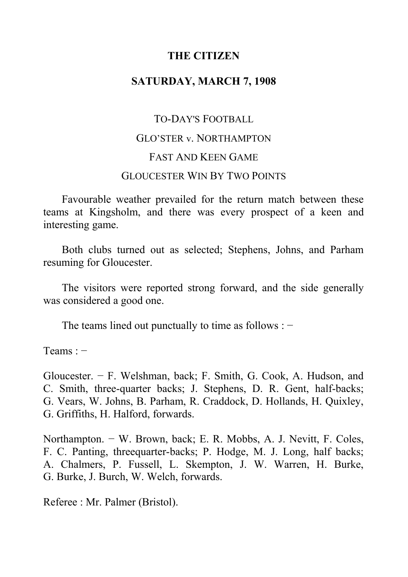## **THE CITIZEN**

## **SATURDAY, MARCH 7, 1908**

# TO-DAY'S FOOTBALL GLO'STER v. NORTHAMPTON FAST AND KEEN GAME GLOUCESTER WIN BY TWO POINTS

Favourable weather prevailed for the return match between these teams at Kingsholm, and there was every prospect of a keen and interesting game.

Both clubs turned out as selected; Stephens, Johns, and Parham resuming for Gloucester.

The visitors were reported strong forward, and the side generally was considered a good one.

The teams lined out punctually to time as follows : −

Teams : −

Gloucester. − F. Welshman, back; F. Smith, G. Cook, A. Hudson, and C. Smith, three-quarter backs; J. Stephens, D. R. Gent, half-backs; G. Vears, W. Johns, B. Parham, R. Craddock, D. Hollands, H. Quixley, G. Griffiths, H. Halford, forwards.

Northampton. − W. Brown, back; E. R. Mobbs, A. J. Nevitt, F. Coles, F. C. Panting, threequarter-backs; P. Hodge, M. J. Long, half backs; A. Chalmers, P. Fussell, L. Skempton, J. W. Warren, H. Burke, G. Burke, J. Burch, W. Welch, forwards.

Referee : Mr. Palmer (Bristol).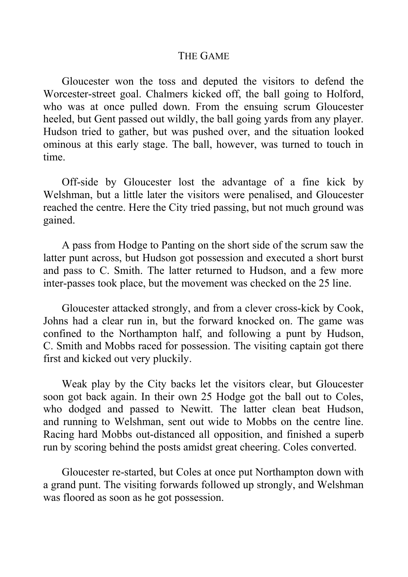#### THE GAME

Gloucester won the toss and deputed the visitors to defend the Worcester-street goal. Chalmers kicked off, the ball going to Holford, who was at once pulled down. From the ensuing scrum Gloucester heeled, but Gent passed out wildly, the ball going yards from any player. Hudson tried to gather, but was pushed over, and the situation looked ominous at this early stage. The ball, however, was turned to touch in time.

Off-side by Gloucester lost the advantage of a fine kick by Welshman, but a little later the visitors were penalised, and Gloucester reached the centre. Here the City tried passing, but not much ground was gained.

A pass from Hodge to Panting on the short side of the scrum saw the latter punt across, but Hudson got possession and executed a short burst and pass to C. Smith. The latter returned to Hudson, and a few more inter-passes took place, but the movement was checked on the 25 line.

Gloucester attacked strongly, and from a clever cross-kick by Cook, Johns had a clear run in, but the forward knocked on. The game was confined to the Northampton half, and following a punt by Hudson, C. Smith and Mobbs raced for possession. The visiting captain got there first and kicked out very pluckily.

Weak play by the City backs let the visitors clear, but Gloucester soon got back again. In their own 25 Hodge got the ball out to Coles, who dodged and passed to Newitt. The latter clean beat Hudson, and running to Welshman, sent out wide to Mobbs on the centre line. Racing hard Mobbs out-distanced all opposition, and finished a superb run by scoring behind the posts amidst great cheering. Coles converted.

Gloucester re-started, but Coles at once put Northampton down with a grand punt. The visiting forwards followed up strongly, and Welshman was floored as soon as he got possession.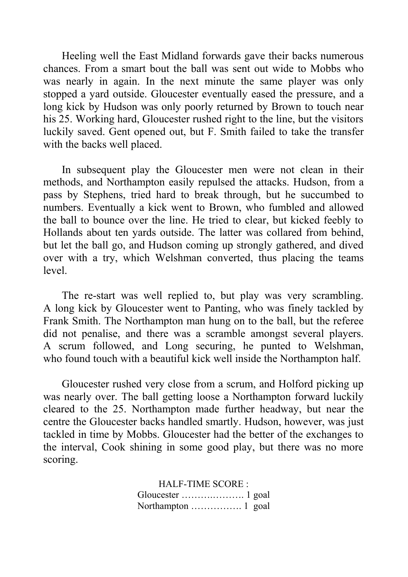Heeling well the East Midland forwards gave their backs numerous chances. From a smart bout the ball was sent out wide to Mobbs who was nearly in again. In the next minute the same player was only stopped a yard outside. Gloucester eventually eased the pressure, and a long kick by Hudson was only poorly returned by Brown to touch near his 25. Working hard, Gloucester rushed right to the line, but the visitors luckily saved. Gent opened out, but F. Smith failed to take the transfer with the backs well placed.

In subsequent play the Gloucester men were not clean in their methods, and Northampton easily repulsed the attacks. Hudson, from a pass by Stephens, tried hard to break through, but he succumbed to numbers. Eventually a kick went to Brown, who fumbled and allowed the ball to bounce over the line. He tried to clear, but kicked feebly to Hollands about ten yards outside. The latter was collared from behind, but let the ball go, and Hudson coming up strongly gathered, and dived over with a try, which Welshman converted, thus placing the teams level.

The re-start was well replied to, but play was very scrambling. A long kick by Gloucester went to Panting, who was finely tackled by Frank Smith. The Northampton man hung on to the ball, but the referee did not penalise, and there was a scramble amongst several players. A scrum followed, and Long securing, he punted to Welshman, who found touch with a beautiful kick well inside the Northampton half.

Gloucester rushed very close from a scrum, and Holford picking up was nearly over. The ball getting loose a Northampton forward luckily cleared to the 25. Northampton made further headway, but near the centre the Gloucester backs handled smartly. Hudson, however, was just tackled in time by Mobbs. Gloucester had the better of the exchanges to the interval, Cook shining in some good play, but there was no more scoring.

> HALF-TIME SCORE : Gloucester ……….………. 1 goal Northampton ……………. 1 goal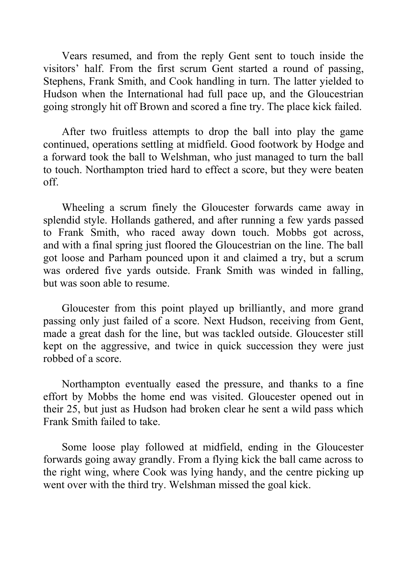Vears resumed, and from the reply Gent sent to touch inside the visitors' half. From the first scrum Gent started a round of passing, Stephens, Frank Smith, and Cook handling in turn. The latter yielded to Hudson when the International had full pace up, and the Gloucestrian going strongly hit off Brown and scored a fine try. The place kick failed.

After two fruitless attempts to drop the ball into play the game continued, operations settling at midfield. Good footwork by Hodge and a forward took the ball to Welshman, who just managed to turn the ball to touch. Northampton tried hard to effect a score, but they were beaten off.

Wheeling a scrum finely the Gloucester forwards came away in splendid style. Hollands gathered, and after running a few yards passed to Frank Smith, who raced away down touch. Mobbs got across, and with a final spring just floored the Gloucestrian on the line. The ball got loose and Parham pounced upon it and claimed a try, but a scrum was ordered five yards outside. Frank Smith was winded in falling, but was soon able to resume.

Gloucester from this point played up brilliantly, and more grand passing only just failed of a score. Next Hudson, receiving from Gent, made a great dash for the line, but was tackled outside. Gloucester still kept on the aggressive, and twice in quick succession they were just robbed of a score.

Northampton eventually eased the pressure, and thanks to a fine effort by Mobbs the home end was visited. Gloucester opened out in their 25, but just as Hudson had broken clear he sent a wild pass which Frank Smith failed to take.

Some loose play followed at midfield, ending in the Gloucester forwards going away grandly. From a flying kick the ball came across to the right wing, where Cook was lying handy, and the centre picking up went over with the third try. Welshman missed the goal kick.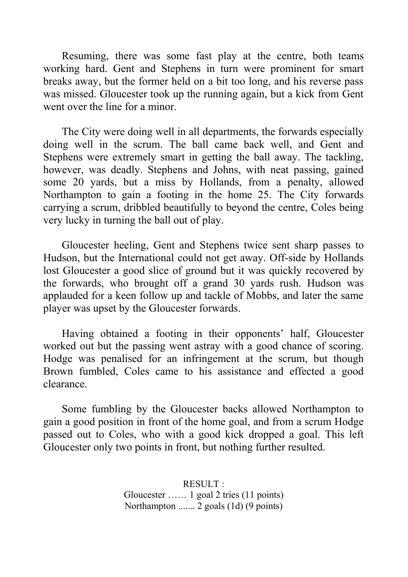Resuming, there was some fast play at the centre, both teams working hard. Gent and Stephens in turn were prominent for smart breaks away, but the former held on a bit too long, and his reverse pass was missed. Gloucester took up the running again, but a kick from Gent went over the line for a minor.

The City were doing well in all departments, the forwards especially doing well in the scrum. The ball came back well, and Gent and Stephens were extremely smart in getting the ball away. The tackling, however, was deadly. Stephens and Johns, with neat passing, gained some 20 yards, but a miss by Hollands, from a penalty, allowed Northampton to gain a footing in the home 25. The City forwards carrying a scrum, dribbled beautifully to beyond the centre, Coles being very lucky in turning the ball out of play.

Gloucester heeling, Gent and Stephens twice sent sharp passes to Hudson, but the International could not get away. Off-side by Hollands lost Gloucester a good slice of ground but it was quickly recovered by the forwards, who brought off a grand 30 yards rush. Hudson was applauded for a keen follow up and tackle of Mobbs, and later the same player was upset by the Gloucester forwards.

Having obtained a footing in their opponents' half, Gloucester worked out but the passing went astray with a good chance of scoring. Hodge was penalised for an infringement at the scrum, but though Brown fumbled, Coles came to his assistance and effected a good clearance.

Some fumbling by the Gloucester backs allowed Northampton to gain a good position in front of the home goal, and from a scrum Hodge passed out to Coles, who with a good kick dropped a goal. This left Gloucester only two points in front, but nothing further resulted.

> RESULT : Gloucester …… 1 goal 2 tries (11 points) Northampton ....... 2 goals (1d) (9 points)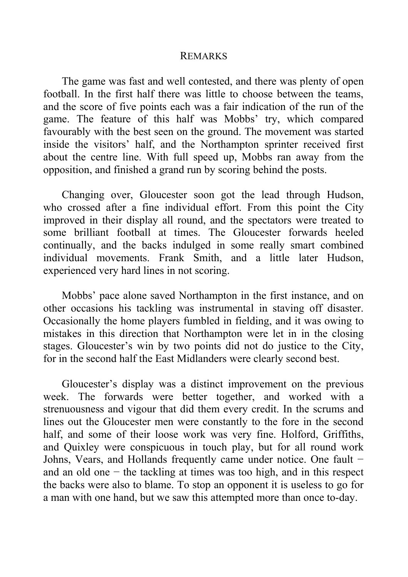#### REMARKS

The game was fast and well contested, and there was plenty of open football. In the first half there was little to choose between the teams, and the score of five points each was a fair indication of the run of the game. The feature of this half was Mobbs' try, which compared favourably with the best seen on the ground. The movement was started inside the visitors' half, and the Northampton sprinter received first about the centre line. With full speed up, Mobbs ran away from the opposition, and finished a grand run by scoring behind the posts.

Changing over, Gloucester soon got the lead through Hudson, who crossed after a fine individual effort. From this point the City improved in their display all round, and the spectators were treated to some brilliant football at times. The Gloucester forwards heeled continually, and the backs indulged in some really smart combined individual movements. Frank Smith, and a little later Hudson, experienced very hard lines in not scoring.

Mobbs' pace alone saved Northampton in the first instance, and on other occasions his tackling was instrumental in staving off disaster. Occasionally the home players fumbled in fielding, and it was owing to mistakes in this direction that Northampton were let in in the closing stages. Gloucester's win by two points did not do justice to the City, for in the second half the East Midlanders were clearly second best.

Gloucester's display was a distinct improvement on the previous week. The forwards were better together, and worked with a strenuousness and vigour that did them every credit. In the scrums and lines out the Gloucester men were constantly to the fore in the second half, and some of their loose work was very fine. Holford, Griffiths, and Quixley were conspicuous in touch play, but for all round work Johns, Vears, and Hollands frequently came under notice. One fault − and an old one − the tackling at times was too high, and in this respect the backs were also to blame. To stop an opponent it is useless to go for a man with one hand, but we saw this attempted more than once to-day.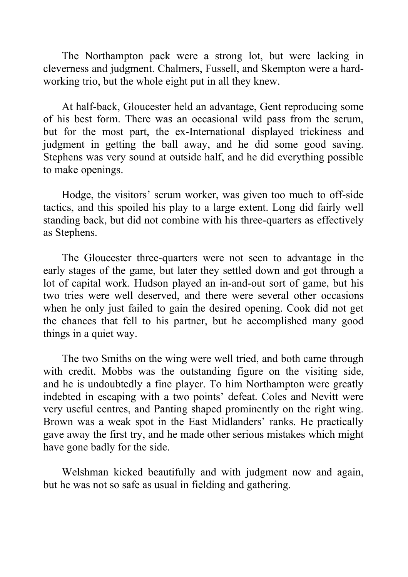The Northampton pack were a strong lot, but were lacking in cleverness and judgment. Chalmers, Fussell, and Skempton were a hardworking trio, but the whole eight put in all they knew.

At half-back, Gloucester held an advantage, Gent reproducing some of his best form. There was an occasional wild pass from the scrum, but for the most part, the ex-International displayed trickiness and judgment in getting the ball away, and he did some good saving. Stephens was very sound at outside half, and he did everything possible to make openings.

Hodge, the visitors' scrum worker, was given too much to off-side tactics, and this spoiled his play to a large extent. Long did fairly well standing back, but did not combine with his three-quarters as effectively as Stephens.

The Gloucester three-quarters were not seen to advantage in the early stages of the game, but later they settled down and got through a lot of capital work. Hudson played an in-and-out sort of game, but his two tries were well deserved, and there were several other occasions when he only just failed to gain the desired opening. Cook did not get the chances that fell to his partner, but he accomplished many good things in a quiet way.

The two Smiths on the wing were well tried, and both came through with credit. Mobbs was the outstanding figure on the visiting side, and he is undoubtedly a fine player. To him Northampton were greatly indebted in escaping with a two points' defeat. Coles and Nevitt were very useful centres, and Panting shaped prominently on the right wing. Brown was a weak spot in the East Midlanders' ranks. He practically gave away the first try, and he made other serious mistakes which might have gone badly for the side.

Welshman kicked beautifully and with judgment now and again, but he was not so safe as usual in fielding and gathering.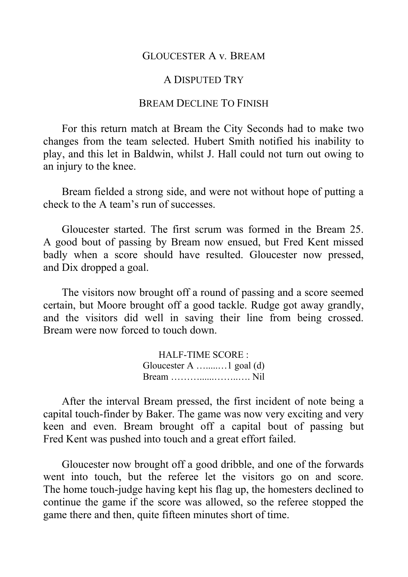#### GLOUCESTER A v*.* BREAM

#### A DISPUTED TRY

## BREAM DECLINE TO FINISH

For this return match at Bream the City Seconds had to make two changes from the team selected. Hubert Smith notified his inability to play, and this let in Baldwin, whilst J. Hall could not turn out owing to an injury to the knee.

Bream fielded a strong side, and were not without hope of putting a check to the A team's run of successes.

Gloucester started. The first scrum was formed in the Bream 25. A good bout of passing by Bream now ensued, but Fred Kent missed badly when a score should have resulted. Gloucester now pressed, and Dix dropped a goal.

The visitors now brought off a round of passing and a score seemed certain, but Moore brought off a good tackle. Rudge got away grandly, and the visitors did well in saving their line from being crossed. Bream were now forced to touch down.

> HALF-TIME SCORE : Gloucester A ….....…1 goal (d) Bream ………......……..…. Nil

After the interval Bream pressed, the first incident of note being a capital touch-finder by Baker. The game was now very exciting and very keen and even. Bream brought off a capital bout of passing but Fred Kent was pushed into touch and a great effort failed.

Gloucester now brought off a good dribble, and one of the forwards went into touch, but the referee let the visitors go on and score. The home touch-judge having kept his flag up, the homesters declined to continue the game if the score was allowed, so the referee stopped the game there and then, quite fifteen minutes short of time.